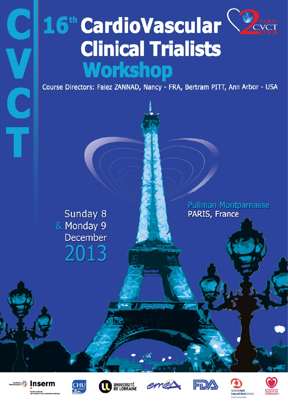# 16<sup>th</sup> CardioVascular **Clinical Trialists Workshop**

Course Directors: Faiez ZANNAD, Nancy - FRA, Bertram PITT, Ann Arbor - USA

Sunday 8 & Monday 9 **December** 2013

**Pullman Montparnasse PARIS, France** 



O











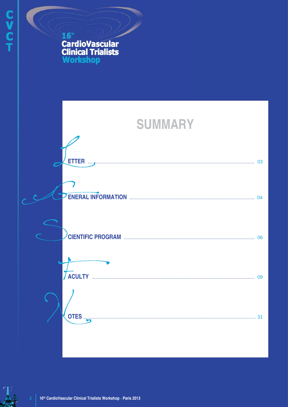A

 $\sqrt{2}$ 

| <b>CardioVascular<br/>Clinical Trialists<br/>Workshop</b> |     |
|-----------------------------------------------------------|-----|
| <b>SUMMARY</b>                                            |     |
| <b>ETTER</b>                                              | 03  |
|                                                           |     |
| <b>CIENTIFIC PROGRAM</b>                                  | 06  |
|                                                           | 09  |
|                                                           | -31 |
|                                                           |     |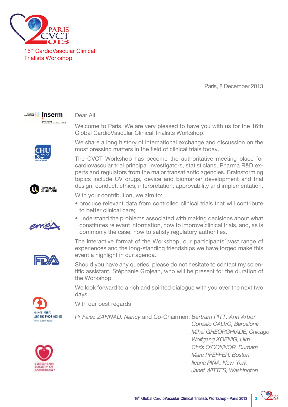

**Second Lines Prime in the Prime in the Prime in the Prime in the Prime in the Prime in the Prime in the Prime i** 

Paris, 8 December 2013



Dear All

Welcome to Paris. We are very pleased to have you with us for the 16th Global CardioVascular Clinical Trialists Workshop.

We share a long history of international exchange and discussion on the most pressing matters in the field of clinical trials today.

The CVCT Workshop has become the authoritative meeting place for cardiovascular trial principal investigators, statisticians, Pharma R&D experts and regulators from the major transatlantic agencies. Brainstorming topics include CV drugs, device and biomarker development and trial design, conduct, ethics, interpretation, approvability and implementation.

With your contribution, we aim to:

- produce relevant data from controlled clinical trials that will contribute to better clinical care;
- understand the problems associated with making decisions about what constitutes relevant information, how to improve clinical trials, and, as is commonly the case, how to satisfy regulatory authorities.

The interactive format of the Workshop, our participants' vast range of experiences and the long-standing friendships we have forged make this event a highlight in our agenda.

 $\ket{\text{TD}}$ 

**National Heart Lung and Blood Institute** People Science Health



Should you have any queries, please do not hesitate to contact my scientific assistant, Stéphanie Grojean, who will be present for the duration of the Workshop.

We look forward to a rich and spirited dialogue with you over the next two days.

With our best regards

*Pr Faiez ZANNAD, Nancy* and Co-Chairmen: *Bertram PITT, Ann Arbor*

*Gonzalo CALVO, Barcelona Mihai GHEORGHIADE, Chicago Wolfgang KOENIG, Ulm Chris O'CONNOR, Durham Marc PFEFFER, Boston Ileana PIÑA, New-York Janet WITTES, Washington*

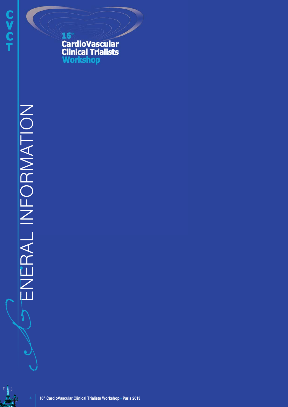**16<sup>th</sup><br>CardioVascular<br>Clinical Trialists<br>Workshop**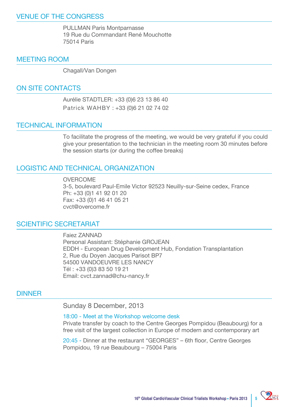# VENUE OF THE CONGRESS

PULLMAN Paris Montparnasse 19 Rue du Commandant René Mouchotte 75014 Paris

# MEETING ROOM

Chagall/Van Dongen

# ON SITE CONTACTS

Aurélie STADTLER: +33 (0)6 23 13 86 40 Patrick WAHBY : +33 (0)6 21 02 74 02

# TECHNICAL INFORMATION

To facilitate the progress of the meeting, we would be very grateful if you could give your presentation to the technician in the meeting room 30 minutes before the session starts (or during the coffee breaks)

# LOGISTIC AND TECHNICAL ORGANIZATION

# OVERCOME

3-5, boulevard Paul-Emile Victor 92523 Neuilly-sur-Seine cedex, France Ph: +33 (0)1 41 92 01 20 Fax: +33 (0)1 46 41 05 21 cvct@overcome.fr

# SCIENTIFIC SECRETARIAT

Faiez ZANNAD

Personal Assistant: Stéphanie GROJEAN EDDH - European Drug Development Hub, Fondation Transplantation 2, Rue du Doyen Jacques Parisot BP7 54500 VANDOEUVRE LES NANCY Tél : +33 (0)3 83 50 19 21 Email: cvct.zannad@chu-nancy.fr

# **DINNER**

Sunday 8 December, 2013

# 18:00 - Meet at the Workshop welcome desk

Private transfer by coach to the Centre Georges Pompidou (Beaubourg) for a free visit of the largest collection in Europe of modern and contemporary art

20:45 - Dinner at the restaurant "GEORGES" – 6th floor, Centre Georges Pompidou, 19 rue Beaubourg – 75004 Paris

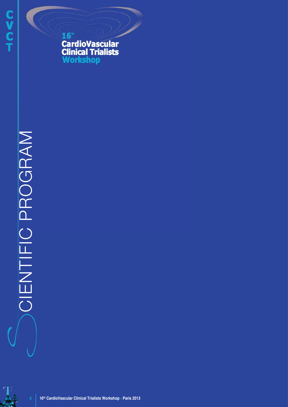**16<sup>th</sup><br>CardioVascular<br>Clinical Trialists<br>Workshop**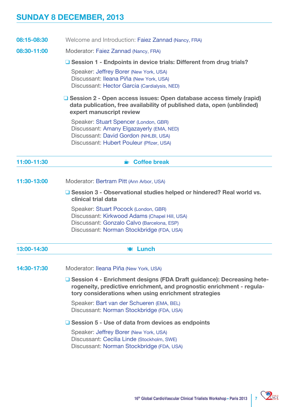# **SUNDAY 8 DECEMBER, 2013**

| 08:15-08:30 | Welcome and Introduction: Faiez Zannad (Nancy, FRA)                                                                                                                                                      |
|-------------|----------------------------------------------------------------------------------------------------------------------------------------------------------------------------------------------------------|
| 08:30-11:00 | Moderator: Faiez Zannad (Nancy, FRA)                                                                                                                                                                     |
|             | □ Session 1 - Endpoints in device trials: Different from drug trials?                                                                                                                                    |
|             | Speaker: Jeffrey Borer (New York, USA)<br>Discussant: Ileana Piña (New York, USA)<br>Discussant: Hector Garcia (Cardialysis, NED)                                                                        |
|             | □ Session 2 - Open access issues: Open database access timely (rapid)<br>data publication, free availability of published data, open (unblinded)<br>expert manuscript review                             |
|             | Speaker: Stuart Spencer (London, GBR)<br>Discussant: Amany Elgazayerly (EMA, NED)<br>Discussant: David Gordon (NHLBI, USA)<br>Discussant: Hubert Pouleur (Pfizer, USA)                                   |
| 11:00-11:30 | Coffee break                                                                                                                                                                                             |
| 11:30-13:00 | Moderator: Bertram Pitt (Ann Arbor, USA)                                                                                                                                                                 |
|             | □ Session 3 - Observational studies helped or hindered? Real world vs.<br>clinical trial data                                                                                                            |
|             | Speaker: Stuart Pocock (London, GBR)<br>Discussant: Kirkwood Adams (Chapel Hill, USA)<br>Discussant: Gonzalo Calvo (Barcelona, ESP)<br>Discussant: Norman Stockbridge (FDA, USA)                         |
| 13:00-14:30 | Lunch<br>1OI                                                                                                                                                                                             |
| 14:30-17:30 | Moderator: Ileana Piña (New York, USA)                                                                                                                                                                   |
|             | □ Session 4 - Enrichment designs (FDA Draft guidance): Decreasing hete-<br>rogeneity, predictive enrichment, and prognostic enrichment - regula-<br>tory considerations when using enrichment strategies |
|             | Speaker: Bart van der Schueren (EMA, BEL)<br>Discussant: Norman Stockbridge (FDA, USA)                                                                                                                   |
|             | $\Box$ Session 5 - Use of data from devices as endpoints<br>Speaker: Jeffrey Borer (New York, USA)<br>Discussant: Cecilia Linde (Stockholm, SWE)<br>Discussant: Norman Stockbridge (FDA, USA)            |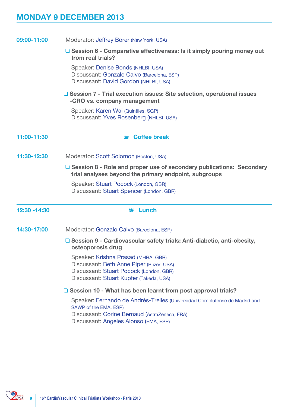# **MONDAY 9 DECEMBER 2013**

| 09:00-11:00   | Moderator: Jeffrey Borer (New York, USA)                                                                                                                               |  |  |
|---------------|------------------------------------------------------------------------------------------------------------------------------------------------------------------------|--|--|
|               | □ Session 6 - Comparative effectiveness: Is it simply pouring money out<br>from real trials?                                                                           |  |  |
|               | Speaker: Denise Bonds (NHLBI, USA)<br>Discussant: Gonzalo Calvo (Barcelona, ESP)<br>Discussant: David Gordon (NHLBI, USA)                                              |  |  |
|               | □ Session 7 - Trial execution issues: Site selection, operational issues<br>-CRO vs. company management                                                                |  |  |
|               | Speaker: Karen Wai (Quintiles, SGP)<br>Discussant: Yves Rosenberg (NHLBI, USA)                                                                                         |  |  |
| 11:00-11:30   | <b>Coffee break</b>                                                                                                                                                    |  |  |
| 11:30-12:30   | Moderator: Scott Solomon (Boston, USA)                                                                                                                                 |  |  |
|               | □ Session 8 - Role and proper use of secondary publications: Secondary<br>trial analyses beyond the primary endpoint, subgroups                                        |  |  |
|               | Speaker: Stuart Pocock (London, GBR)<br>Discussant: Stuart Spencer (London, GBR)                                                                                       |  |  |
| 12:30 - 14:30 | <b>101 Lunch</b>                                                                                                                                                       |  |  |
| 14:30-17:00   | Moderator: Gonzalo Calvo (Barcelona, ESP)                                                                                                                              |  |  |
|               | □ Session 9 - Cardiovascular safety trials: Anti-diabetic, anti-obesity,<br>osteoporosis drug                                                                          |  |  |
|               | Speaker: Krishna Prasad (MHRA, GBR)<br>Discussant: Beth Anne Piper (Pfizer, USA)<br>Discussant: Stuart Pocock (London, GBR)<br>Discussant: Stuart Kupfer (Takeda, USA) |  |  |
|               | □ Session 10 - What has been learnt from post approval trials?                                                                                                         |  |  |
|               | Speaker: Fernando de Andrès-Trelles (Universidad Complutense de Madrid and<br>SAWP of the EMA, ESP)<br>Discussant: Corine Bernaud (AstraZeneca, FRA)                   |  |  |

Discussant: Angeles Alonso (EMA, ESP)

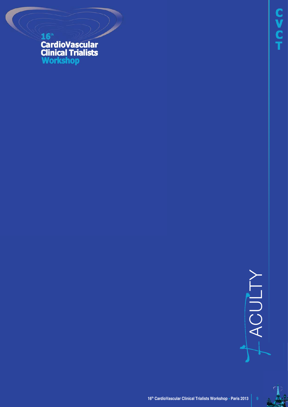

C<br>C<br>T

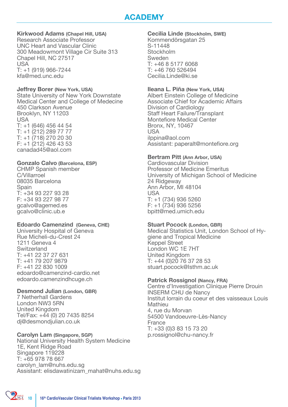# **ACADEMY**

#### **Kirkwood Adams (Chapel Hill, USA)**

Research Associate Professor UNC Heart and Vascular Clinic 300 Meadowmont Village Cir Suite 313 Chapel Hill, NC 27517 USA T: +1 (919) 966-7244 kfa@med.unc.edu

#### **Jeffrey Borer (New York, USA)**

State University of New York Downstate Medical Center and College of Medecine 450 Clarkson Avenue Brooklyn, NY 11203 USA T: +1 (646) 456 44 54 T: +1 (212) 289 77 77 T: +1 (718) 270 20 30 F: +1 (212) 426 43 53 canadad45@aol.com

# **Gonzalo Calvo (Barcelona, ESP)**

CHMP Spanish member C/Villarroel 08035 Barcelona **Spain** T: +34 93 227 93 28 F: +34 93 227 98 77 gcalvo@agemed.es gcalvo@clinic.ub.e

# **Edoardo Camenzind (Geneva, CHE)**

University Hospital of Geneva Rue Micheli-du-Crest 24 1211 Geneva 4 **Switzerland** T: +41 22 37 27 631 T: +41 79 207 9879 F: +41 22 830 1009 edoardo@camenzind-cardio.net edoardo.camenzindhcuge.ch

# **Desmond Julian (London, GBR)**

7 Netherhall Gardens London NW3 5RN United Kingdom Tel/Fax: +44 (0) 20 7435 8254 dj@desmondjulian.co.uk

# **Carolyn Lam (Singapore, SGP)**

National University Health System Medicine 1E, Kent Ridge Road Singapore 119228 T: +65 978 78 667 carolyn\_lam@nuhs.edu.sg Assistant: elisdawatinizam\_mahat@nuhs.edu.sg

# **Cecilia Linde (Stockholm, SWE)**

Kommendörsgatan 25 S-11448 Stockholm Sweden T: +46 8 5177 6068 T: +46 760 526494 Cecilia.Linde@ki.se

#### **Ileana L. Piña (New York, USA)**

Albert Einstein College of Medicine Associate Chief for Academic Affairs Division of Cardiology Staff Heart Failure/Transplant Montefiore Medical Center Bronx, NY, 10467 USA ilppina@aol.com Assistant: paperalt@montefiore.org

# **Bertram Pitt (Ann Arbor, USA)**

Cardiovascular Division Professor of Medicine Emeritus University of Michigan School of Medicine 24 Ridgeway Ann Arbor, MI 48104 USA T: +1 (734) 936 5260 F: +1 (734) 936 5256 bpitt@med.umich.edu

# **Stuart Pocock (London, GBR)**

Medical Statistics Unit, London School of Hygiene and Tropical Medicine Keppel Street London WC 1E 7HT United Kingdom T: +44 (0)20 76 37 28 53 stuart.pocock@Isthm.ac.uk

# **Patrick Rossignol (Nancy, FRA)**

Centre d'Investigation Clinique Pierre Drouin INSERM CHU de Nancy Institut lorrain du coeur et des vaisseaux Louis Mathieu 4, rue du Morvan 54500 Vandoeuvre-Lès-Nancy France T: +33 (0)3 83 15 73 20 p.rossignol@chu-nancy.fr

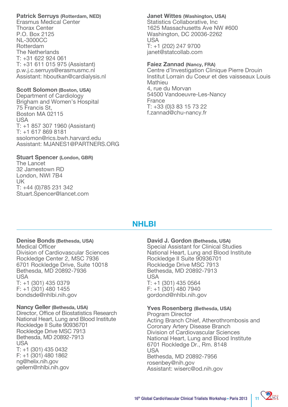#### **Patrick Serruys (Rotterdam, NED)**

Erasmus Medical Center Thorax Center P.O. Box 2125 NL-3000CC Rotterdam The Netherlands  $T: +31622924061$ T: +31 611 015 975 (Assistant) p.w.j.c.serruys@erasmusmc.nl Assistant: hboutkan@cardialysis.nl

#### **Scott Solomon (Boston, USA)**

Department of Cardiology Brigham and Women's Hospital 75 Francis St, Boston MA 02115 USA T: +1 857 307 1960 (Assistant) T: +1 617 869 8181 ssolomon@rics.bwh.harvard.edu Assistant: MJANES1@PARTNERS.ORG

#### **Stuart Spencer (London, GBR)**

The Lancet 32 Jamestown RD London, NWI 7B4 UK T: +44 (0)785 231 342 Stuart.Spencer@lancet.com

#### **Janet Wittes (Washington, USA)**

Statistics Collaborative, Inc 1625 Massachusetts Ave NW #600 Washington, DC 20036-2262 USA T: +1 (202) 247 9700 janet@statcollab.com

#### **Faiez Zannad (Nancy, FRA)**

Centre d'Investigation Clinique Pierre Drouin Institut Lorrain du Coeur et des vaisseaux Louis Mathieu 4, rue du Morvan 54500 Vandoeuvre-Les-Nancy France T: +33 (0)3 83 15 73 22 f.zannad@chu-nancy.fr

# **NHLBI**

#### **Denise Bonds (Bethesda, USA)**

Medical Officer Division of Cardiovascular Sciences Rockledge Center 2, MSC 7936 6701 Rockledge Drive, Suite 10018 Bethesda, MD 20892-7936 USA T: +1 (301) 435 0379 F: +1 (301) 480 1455 bondsde@nhlbi.nih.gov

#### **Nancy Geller (Bethesda, USA)**

Director, Office of Biostatistics Research National Heart, Lung and Blood Institute Rockledge II Suite 90936701 Rockledge Drive MSC 7913 Bethesda, MD 20892-7913 USA T: +1 (301) 435 0432 F: +1 (301) 480 1862 ng@helix.nih.gov gellern@nhlbi.nih.gov

#### **David J. Gordon (Bethesda, USA)** Special Assistant for Clinical Studies National Heart, Lung and Blood Institute Rockledge II Suite 90936701 Rockledge Drive MSC 7913 Bethesda, MD 20892-7913 USA T: +1 (301) 435 0564 F: +1 (301) 480 7940 gordond@nhlbi.nih.gov

#### **Yves Rosenberg (Bethesda, USA)**

Program Director Acting Branch Chief, Atherothrombosis and Coronary Artery Disease Branch Division of Cardiovascular Sciences National Heart, Lung and Blood Institute 6701 Rockledge Dr., Rm. 8148 USA Bethesda, MD 20892-7956 rosenbey@nih.gov Assistant: wiserc@od.nih.gov

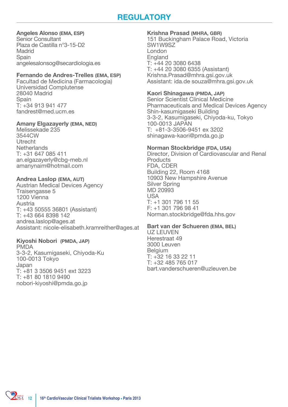# **REGULATORY**

#### **Angeles Alonso (EMA, ESP)**

Senior Consultant Plaza de Castilla n°3-15-D2 Madrid Spain angelesalonsog@secardiologia.es

# **Fernando de Andres-Trelles (EMA, ESP)**

Facultad de Medicina (Farmacologia) Universidad Complutense 28040 Madrid Spain T: +34 913 941 477 fandrest@med.ucm.es

# **Amany Elgazayerly (EMA, NED)**

Melissekade 235 3544CW Utrecht **Netherlands**  $T: +31647085411$ an.elgazayerly@cbg-meb.nl amanynaim@hotmail.com

# **Andrea Laslop (EMA, AUT)**

Austrian Medical Devices Agency Traisengasse 5 1200 Vienna Austria T: +43 50555 36801 (Assistant) T: +43 664 8398 142 andrea.laslop@ages.at Assistant: nicole-elisabeth.kramreither@ages.at

# **Kiyoshi Nobori (PMDA, JAP)**

PMDA 3-3-2, Kasumigaseki, Chiyoda-Ku 100-0013 Tokyo Japan T: +81 3 3506 9451 ext 3223 T: +81 80 1810 9490 nobori-kiyoshi@pmda.go.jp

# **Krishna Prasad (MHRA, GBR)**

151 Buckingham Palace Road, Victoria SW1W9SZ London **England** T: +44 20 3080 6438 T: +44 20 3080 6355 (Assistant) Krishna.Prasad@mhra.gsi.gov.uk Assistant: ida.de souza@mhra.gsi.gov.uk

# **Kaori Shinagawa (PMDA, JAP)**

Senior Scientist Clinical Medicine Pharmaceuticals and Medical Devices Agency Shin-kasumigaseki Building 3-3-2, Kasumigaseki, Chiyoda-ku, Tokyo 100-0013 JAPAN T: +81-3-3506-9451 ex 3202 shinagawa-kaori@pmda.go.jp

# **Norman Stockbridge (FDA, USA)**

Director, Division of Cardiovascular and Renal **Products** FDA, CDER Building 22, Room 4168 10903 New Hampshire Avenue Silver Spring MD 20993 USA T: +1 301 796 11 55 F: +1 301 796 98 41 Norman.stockbridge@fda.hhs.gov

# **Bart van der Schueren (EMA, BEL)**

UZ LEUVEN Herestraat 49 3000 Leuven Belgium T: +32 16 33 22 11 T: +32 485 765 017 bart.vanderschueren@uzleuven.be

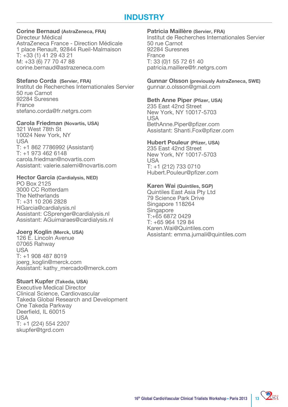# **INDUSTRY**

#### **Corine Bernaud (AstraZeneca, FRA)**

Directeur Médical AstraZeneca France - Direction Médicale 1 place Renault, 92844 Rueil-Malmaison T: +33 (1) 41 29 43 21 M: +33 (6) 77 70 47 88 corine.bernaud@astrazeneca.com

#### **Stefano Corda (Servier, FRA)**

Institut de Recherches Internationales Servier 50 rue Carnot 92284 Suresnes France stefano.corda@fr.netgrs.com

#### **Carola Friedman (Novartis, USA)**

321 West 78th St 10024 New York, NY USA T: +1 862 7786992 (Assistant) T: +1 973 462 6148 carola.friedman@novartis.com Assistant: valerie.salemi@novartis.com

# **Hector Garcia (Cardialysis, NED)**

PO Box 2125 3000 CC Rotterdam The Netherlands T: +31 10 206 2828 HGarcia@cardialysis.nl Assistant: CSprenger@cardialysis.nl Assistant: AGuimaraes@cardialysis.nl

# **Joerg Koglin (Merck, USA)**

126 E. Lincoln Avenue 07065 Rahway USA T: +1 908 487 8019 joerg\_koglin@merck.com Assistant: kathy\_mercado@merck.com

# **Stuart Kupfer (Takeda, USA)**

Executive Medical Director Clinical Science, Cardiovascular Takeda Global Research and Development One Takeda Parkway Deerfield, IL 60015 **USA** T: +1 (224) 554 2207 skupfer@tgrd.com

#### **Patricia Maillère (Servier, FRA)**

Institut de Recherches Internationales Servier 50 rue Carnot 92284 Suresnes France T: 33 (0)1 55 72 61 40 patricia.maillere@fr.netgrs.com

#### **Gunnar Olsson (previously AstraZeneca, SWE)** gunnar.o.olsson@gmail.com

#### **Beth Anne Piper (Pfizer, USA)**

235 East 42nd Street New York, NY 10017-5703 USA BethAnne.Piper@pfizer.com Assistant: Shanti.Fox@pfizer.com

#### **Hubert Pouleur (Pfizer, USA)**

235 East 42nd Street New York, NY 10017-5703 USA T: +1 (212) 733 0710 Hubert.Pouleur@pfizer.com

# **Karen Wai (Quintiles, SGP)**

Quintiles East Asia Pty Ltd 79 Science Park Drive Singapore 118264 Singapore T:+65 6872 0429 T: +65 964 129 84 Karen.Wai@Quintiles.com Assistant: emma.jumali@quintiles.com

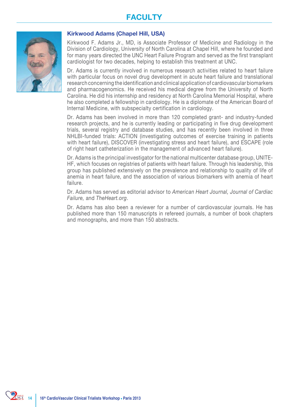

#### **Kirkwood Adams (Chapel Hill, USA)**

Kirkwood F. Adams Jr., MD, is Associate Professor of Medicine and Radiology in the Division of Cardiology, University of North Carolina at Chapel Hill, where he founded and for many years directed the UNC Heart Failure Program and served as the first transplant cardiologist for two decades, helping to establish this treatment at UNC.

Dr. Adams is currently involved in numerous research activities related to heart failure with particular focus on novel drug development in acute heart failure and translational research concerning the identification and clinical application of cardiovascular biomarkers and pharmacogenomics. He received his medical degree from the University of North Carolina. He did his internship and residency at North Carolina Memorial Hospital, where he also completed a fellowship in cardiology. He is a diplomate of the American Board of Internal Medicine, with subspecialty certification in cardiology.

Dr. Adams has been involved in more than 120 completed grant- and industry-funded research projects, and he is currently leading or participating in five drug development trials, several registry and database studies, and has recently been involved in three NHLBI-funded trials: ACTION (investigating outcomes of exercise training in patients with heart failure), DISCOVER (investigating stress and heart failure), and ESCAPE (role of right heart catheterization in the management of advanced heart failure).

Dr. Adams is the principal investigator for the national multicenter database group, UNITE-HF, which focuses on registries of patients with heart failure. Through his leadership, this group has published extensively on the prevalence and relationship to quality of life of anemia in heart failure, and the association of various biomarkers with anemia of heart failure.

Dr. Adams has served as editorial advisor to *American Heart Journal, Journal of Cardiac Failure,* and *TheHeart.org*.

Dr. Adams has also been a reviewer for a number of cardiovascular journals. He has published more than 150 manuscripts in refereed journals, a number of book chapters and monographs, and more than 150 abstracts.

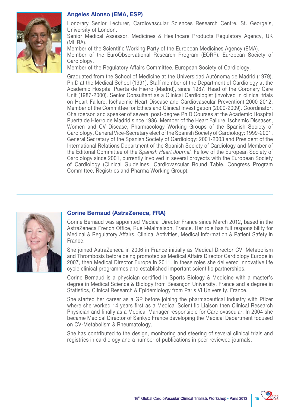

# **Angeles Alonso (EMA, ESP)**

Honorary Senior Lecturer, Cardiovascular Sciences Research Centre. St. George's, University of London.

Senior Medical Assessor. Medicines & Healthcare Products Regulatory Agency, UK (MHRA).

Member of the Scientific Working Party of the European Medicines Agency (EMA). Member of the EuroObservational Research Program (EORP). European Society of Cardiology.

Member of the Regulatory Affairs Committee. European Society of Cardiology.

Graduated from the School of Medicine at the Universidad Autónoma de Madrid (1979). Ph.D at the Medical School (1991). Staff member of the Department of Cardiology at the Academic Hospital Puerta de Hierro (Madrid), since 1987. Head of the Coronary Care Unit (1987-2000). Senior Consultant as a Clinical Cardiologist (involved in clinical trials on Heart Failure, Ischaemic Heart Disease and Cardiovascular Prevention) 2000-2012. Member of the Committee for Ethics and Clinical Investigation (2000-2009). Coordinator, Chairperson and speaker of several post-degree Ph D Courses at the Academic Hospital Puerta de Hierro de Madrid since 1986. Member of the Heart Failure, Ischemic Diseases, Women and CV Disease, Pharmacology Working Groups of the Spanish Society of Cardiology, General Vice-Secretary elect of the Spanish Society of Cardiology: 1999-2001, General Secretary of the Spanish Society of Cardiology: 2001-2003 and President of the International Relations Department of the Spanish Society of Cardiology and Member of the Editorial Committee of the *Spanish Heart Journal.* Fellow of the European Society of Cardiology since 2001, currently involved in several proyects with the European Society of Cardiology (Clinical Guidelines, Cardiovascular Round Table, Congress Program Committee, Registries and Pharma Working Group).



# **Corine Bernaud (AstraZeneca, FRA)**

Corine Bernaud was appointed Medical Director France since March 2012, based in the AstraZeneca French Office, Rueil-Malmaison, France. Her role has full responsibility for Medical & Regulatory Affairs, Clinical Activities, Medical Information & Patient Safety in France.

She joined AstraZeneca in 2006 in France initially as Medical Director CV, Metabolism and Thrombosis before being promoted as Medical Affairs Director Cardiology Europe in 2007, then Medical Director Europe in 2011. In these roles she delivered innovative life cycle clinical programmes and established important scientific partnerships.

Corine Bernaud is a physician certified in Sports Biology & Medicine with a master's degree in Medical Science & Biology from Besançon University, France and a degree in Statistics, Clinical Research & Epidemiology from Paris VI University, France.

She started her career as a GP before joining the pharmaceutical industry with Pfizer where she worked 14 years first as a Medical Scientific Liaison then Clinical Research Physician and finally as a Medical Manager responsible for Cardiovascular. In 2004 she became Medical Director of Sankyo France developing the Medical Department focused on CV-Metabolism & Rheumatology.

She has contributed to the design, monitoring and steering of several clinical trials and registries in cardiology and a number of publications in peer reviewed journals.

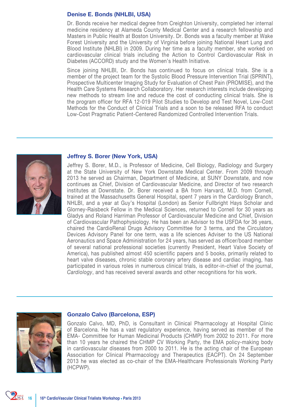# **Denise E. Bonds (NHLBI, USA)**

Dr. Bonds receive her medical degree from Creighton University, completed her internal medicine residency at Alameda County Medical Center and a research fellowship and Masters in Public Health at Boston University. Dr. Bonds was a faculty member at Wake Forest University and the University of Virginia before joining National Heart Lung and Blood Institute (NHLBI) in 2009. During her time as a faculty member, she worked on cardiovascular clinical trials including the Action to Control Cardiovascular Risk in Diabetes (ACCORD) study and the Women's Health Initiative.

Since joining NHLBI, Dr. Bonds has continued to focus on clinical trials. She is a member of the project team for the Systolic Blood Pressure Intervention Trial (SPRINT), Prospective Multicenter Imaging Study for Evaluation of Chest Pain (PROMISE), and the Health Care Systems Research Collaboratory. Her research interests include developing new methods to stream line and reduce the cost of conducting clinical trials. She is the program officer for RFA 12-019 Pilot Studies to Develop and Test Novel, Low-Cost Methods for the Conduct of Clinical Trials and a soon to be released RFA to conduct Low-Cost Pragmatic Patient-Centered Randomized Controlled Intervention Trials.



#### **Jeffrey S. Borer (New York, USA)**

Jeffrey S. Borer, M.D., is Professor of Medicine, Cell Biology, Radiology and Surgery at the State University of New York Downstate Medical Center. From 2009 through 2013 he served as Chairman, Department of Medicine, at SUNY Downstate, and now continues as Chief, Division of Cardiovascular Medicine, and Director of two research institutes at Downstate. Dr. Borer received a BA from Harvard, M.D. from Cornell, trained at the Massachusetts General Hospital, spent 7 years in the Cardiology Branch, NHLBI, and a year at Guy's Hospital (London) as Senior Fullbright Hays Scholar and Glorney-Raisbeck Fellow in the Medical Sciences, returned to Cornell for 30 years as Gladys and Roland Harriman Professor of Cardiovascular Medicine and Chief, Division of Cardiovascular Pathophysiology. He has been an Advisor to the USFDA for 36 years, chaired the CardioRenal Drugs Advisory Committee for 3 terms, and the Circulatory Devices Advisory Panel for one term, was a life sciences Adviser to the US National Aeronautics and Space Administration for 24 years, has served as officer/board member of several national professional societies (currently President, Heart Valve Society of America), has published almost 450 scientific papers and 5 books, primarily related to heart valve diseases, chronic stable coronary artery disease and cardiac imaging, has participated in various roles in numerous clinical trials, is editor-in-chief of the journal, *Cardiology*, and has received several awards and other recognitions for his work.



#### **Gonzalo Calvo (Barcelona, ESP)**

Gonzalo Calvo, MD, PhD, is Consultant in Clinical Pharmacology at Hospital Clinic of Barcelona. He has a vast regulatory experience, having served as member of the EMA- Committee for Human Medicinal Products (CHMP) from 2002 to 2011. For more than 10 years he chaired the CHMP CV Working Party, the EMA policy-making body in cardiovascular diseases from 2000 to 2011. He is the acting chair of the European Association for Clinical Pharmacology and Therapeutics (EACPT). On 24 September 2013 he was elected as co-chair of the EMA-Healthcare Professionals Working Party (HCPWP).

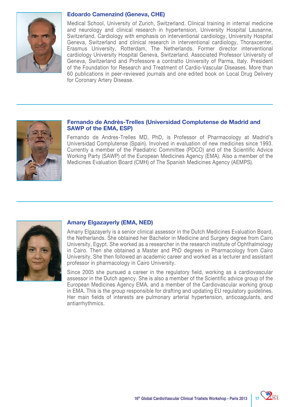

# **Edoardo Camenzind (Geneva, CHE)**

Medical School, University of Zurich, Switzerland. Clinical training in internal medicine and neurology and clinical research in hypertension, University Hospital Lausanne, Switzerland. Cardiology with emphasis on interventional cardiology, University Hospital Geneva, Switzerland and clinical research in interventional cardiology, Thoraxcenter, Erasmus University, Rotterdam, The Netherlands. Former director interventional cardiology University Hospital Geneva, Switzerland. Associated Professor University of Geneva, Switzerland and Professore a contratto University of Parma, Italy. President of the Foundation for Research and Treatment of Cardio-Vascular Diseases. More than 60 publications in peer-reviewed journals and one edited book on Local Drug Delivery for Coronary Artery Disease.



#### **Fernando de Andrès-Trelles (Universidad Complutense de Madrid and SAWP of the EMA, ESP)**

Fernando de Andres-Trelles MD, PhD, is Professor of Pharmacology at Madrid's Universidad Complutense (Spain). Involved in evaluation of new medicines since 1993. Currently a member of the Paediatric Committee (PDCO) and of the Scientific Advice Working Party (SAWP) of the European Medicines Agency (EMA). Also a member of the Medicines Evaluation Board (CMH) of The Spanish Medicines Agency (AEMPS).



# **Amany Elgazayerly (EMA, NED)**

Amany Elgazayerly is a senior clinical assessor in the Dutch Medicines Evaluation Board, the Netherlands. She obtained her Bachelor in Medicine and Surgery degree from Cairo University, Egypt. She worked as a researcher in the research institute of Ophthalmology in Cairo. Then she obtained a Master and PhD degrees in Pharmacology from Cairo University. She then followed an academic career and worked as a lecturer and assistant professor in pharmacology in Cairo University.

Since 2005 she pursued a career in the regulatory field, working as a cardiovascular assessor in the Dutch agency. She is also a member of the Scientific advice group of the European Medicines Agency EMA, and a member of the Cardiovascular working group in EMA. This is the group responsible for drafting and updating EU regulatory guidelines. Her main fields of interests are pulmonary arterial hypertension, anticoagulants, and antiarrhythmics.

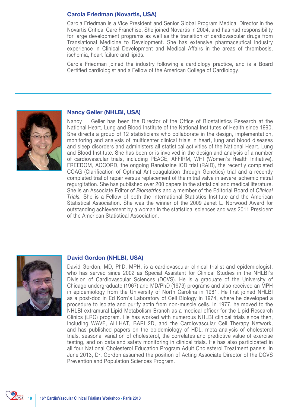# **Carola Friedman (Novartis, USA)**

Carola Friedman is a Vice President and Senior Global Program Medical Director in the Novartis Critical Care Franchise. She joined Novartis in 2004, and has had responsibility for large development programs as well as the transition of cardiovascular drugs from Translational Medicine to Development. She has extensive pharmaceutical industry experience in Clinical Development and Medical Affairs in the areas of thrombosis, ischemia, heart failure and lipids.

Carola Friedman joined the industry following a cardiology practice, and is a Board Certified cardiologist and a Fellow of the American College of Cardiology.



# **Nancy Geller (NHLBI, USA)**

Nancy L. Geller has been the Director of the Office of Biostatistics Research at the National Heart, Lung and Blood Institute of the National Institutes of Health since 1990. She directs a group of 12 statisticians who collaborate in the design, implementation, monitoring and analysis of multicenter clinical trials in heart, lung and blood diseases and sleep disorders and administers all statistical activities of the National Heart, Lung and Blood Institute. She has been or is involved in the design and analysis of a number of cardiovascular trials, including PEACE, AFFIRM, WHI (Women's Health Initiative), FREEDOM, ACCORD, the ongoing Ranolazine ICD trial (RAID), the recently completed COAG (Clarification of Optimal Anticoagulation through Genetics) trial and a recently completed trial of repair versus replacement of the mitral valve in severe ischemic mitral regurgitation. She has published over 200 papers in the statistical and medical literature. She is an Associate Editor of *Biometrics* and a member of the Editorial Board of *Clinical Trials.* She is a Fellow of both the International Statistics Institute and the American Statistical Association. She was the winner of the 2009 Janet L. Norwood Award for outstanding achievement by a woman in the statistical sciences and was 2011 President of the American Statistical Association.



# **David Gordon (NHLBI, USA)**

David Gordon, MD, PhD, MPH, is a cardiovascular clinical trialist and epidemiologist, who has served since 2002 as Special Assistant for Clinical Studies in the NHLBI's Division of Cardiovascular Sciences (DCVS). He is a graduate of the University of Chicago undergraduate (1967) and MD/PhD (1973) programs and also received an MPH in epidemiology from the University of North Carolina in 1981. He first joined NHLBI as a post-doc in Ed Korn's Laboratory of Cell Biology in 1974, where he developed a procedure to isolate and purify actin from non-muscle cells. In 1977, he moved to the NHLBI extramural Lipid Metabolism Branch as a medical officer for the Lipid Research Clinics (LRC) program. He has worked with numerous NHLBI clinical trials since then, including WAVE, ALLHAT, BARI 2D, and the Cardiovascular Cell Therapy Network, and has published papers on the epidemiology of HDL, meta-analysis of cholesterol trials, seasonal variation of cholesterol, the correlates and predictive value of exercise testing, and on data and safety monitoring in clinical trials. He has also participated in all four National Cholesterol Education Program Adult Cholesterol Treatment panels. In June 2013, Dr. Gordon assumed the position of Acting Associate Director of the DCVS Prevention and Population Sciences Program.

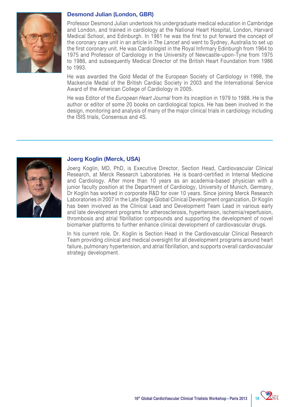

# **Desmond Julian (London, GBR)**

Professor Desmond Julian undertook his undergraduate medical education in Cambridge and London, and trained in cardiology at the National Heart Hospital, London, Harvard Medical School, and Edinburgh. In 1961 he was the first to put forward the concept of the coronary care unit in an article in *The Lancet* and went to Sydney, Australia to set up the first coronary unit. He was Cardiologist in the Royal Infirmary Edinburgh from 1964 to 1975 and Professor of Cardiology in the University of Newcastle-upon-Tyne from 1975 to 1986, and subsequently Medical Director of the British Heart Foundation from 1986 to 1993.

He was awarded the Gold Medal of the European Society of Cardiology in 1998, the Mackenzie Medal of the British Cardiac Society in 2003 and the International Service Award of the American College of Cardiology in 2005.

He was Editor of the *European Heart Journal* from its inception in 1979 to 1988. He is the author or editor of some 20 books on cardiological topics. He has been involved in the design, monitoring and analysis of many of the major clinical trials in cardiology including the ISIS trials, Consensus and 4S.



# **Joerg Koglin (Merck, USA)**

Joerg Koglin, MD, PhD, is Executive Director, Section Head, Cardiovascular Clinical Research, at Merck Research Laboratories. He is board-certified in Internal Medicine and Cardiology. After more than 10 years as an academia-based physician with a junior faculty position at the Department of Cardiology, University of Munich, Germany, Dr Koglin has worked in corporate R&D for over 10 years. Since joining Merck Research Laboratories in 2007 in the Late Stage Global Clinical Development organization, Dr Koglin has been involved as the Clinical Lead and Development Team Lead in various early and late development programs for atherosclerosis, hypertension, ischemia/reperfusion, thrombosis and atrial fibrillation compounds and supporting the development of novel biomarker platforms to further enhance clinical development of cardiovascular drugs.

In his current role, Dr. Koglin is Section Head in the Cardiovascular Clinical Research Team providing clinical and medical oversight for all development programs around heart failure, pulmonary hypertension, and atrial fibrillation, and supports overall cardiovascular strategy development.

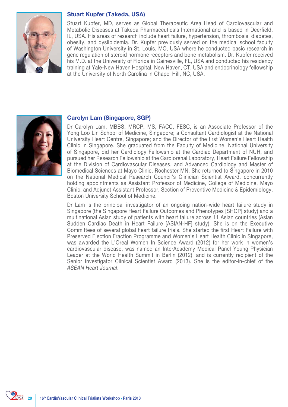

# **Stuart Kupfer (Takeda, USA)**

Stuart Kupfer, MD, serves as Global Therapeutic Area Head of Cardiovascular and Metabolic Diseases at Takeda Pharmaceuticals International and is based in Deerfield, IL, USA. His areas of research include heart failure, hypertension, thrombosis, diabetes, obesity, and dyslipidemia. Dr. Kupfer previously served on the medical school faculty of Washington University in St. Louis, MO, USA where he conducted basic research in gene regulation of steroid hormone receptors and bone metabolism. Dr. Kupfer received his M.D. at the University of Florida in Gainesville, FL, USA and conducted his residency training at Yale-New Haven Hospital, New Haven, CT, USA and endocrinology fellowship at the University of North Carolina in Chapel Hill, NC, USA.



# **Carolyn Lam (Singapore, SGP)**

Dr Carolyn Lam, MBBS, MRCP, MS, FACC, FESC, is an Associate Professor of the Yong Loo Lin School of Medicine, Singapore; a Consultant Cardiologist at the National University Heart Centre, Singapore; and the Director of the first Women's Heart Health Clinic in Singapore. She graduated from the Faculty of Medicine, National University of Singapore, did her Cardiology Fellowship at the Cardiac Department of NUH, and pursued her Research Fellowship at the Cardiorenal Laboratory, Heart Failure Fellowship at the Division of Cardiovascular Diseases, and Advanced Cardiology and Master of Biomedical Sciences at Mayo Clinic, Rochester MN. She returned to Singapore in 2010 on the National Medical Research Council's Clinician Scientist Award, concurrently holding appointments as Assistant Professor of Medicine, College of Medicine, Mayo Clinic, and Adjunct Assistant Professor, Section of Preventive Medicine & Epidemiology, Boston University School of Medicine.

Dr Lam is the principal investigator of an ongoing nation-wide heart failure study in Singapore (the Singapore Heart Failure Outcomes and Phenotypes [SHOP] study) and a multinational Asian study of patients with heart failure across 11 Asian countries (Asian Sudden Cardiac Death in Heart Failure [ASIAN-HF] study). She is on the Executive Committees of several global heart failure trials. She started the first Heart Failure with Preserved Ejection Fraction Programme and Women's Heart Health Clinic in Singapore, was awarded the L'Oreal Women In Science Award (2012) for her work in women's cardiovascular disease, was named an InterAcademy Medical Panel Young Physician Leader at the World Health Summit in Berlin (2012), and is currently recipient of the Senior Investigator Clinical Scientist Award (2013). She is the editor-in-chief of the *ASEAN Heart Journal*.

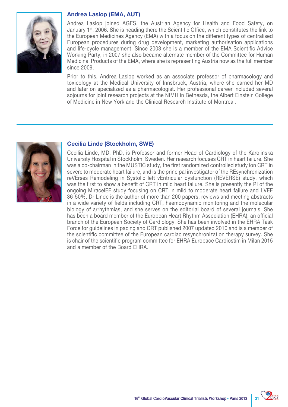

# **Andrea Laslop (EMA, AUT)**

Andrea Laslop joined AGES, the Austrian Agency for Health and Food Safety, on January 1<sup>st</sup>, 2006. She is heading there the Scientific Office, which constitutes the link to the European Medicines Agency (EMA) with a focus on the different types of centralised European procedures during drug development, marketing authorisation applications and life-cycle management. Since 2003 she is a member of the EMA Scientific Advice Working Party, in 2007 she also became alternate member of the Committee for Human Medicinal Products of the EMA, where she is representing Austria now as the full member since 2009.

Prior to this, Andrea Laslop worked as an associate professor of pharmacology and toxicology at the Medical University of Innsbruck, Austria, where she earned her MD and later on specialized as a pharmacologist. Her professional career included several sojourns for joint research projects at the NIMH in Bethesda, the Albert Einstein College of Medicine in New York and the Clinical Research Institute of Montreal.



# **Cecilia Linde (Stockholm, SWE)**

Cecilia Linde, MD, PhD, is Professor and former Head of Cardiology of the Karolinska University Hospital in Stockholm, Sweden. Her research focuses CRT in heart failure. She was a co-chairman in the MUSTIC study, the first randomized controlled study ion CRT in severe to moderate heart failure, and is the principal investigator of the REsynchronization reVErses Remodeling in Systolic left vEntricular dysfunction (REVERSE) study, which was the first to show a benefit of CRT in mild heart failure. She is presently the PI of the ongoing MiracelEF study focusing on CRT in mild to moderate heart failure and LVEF 36-50%. Dr Linde is the author of more than 200 papers, reviews and meeting abstracts in a wide variety of fields including CRT, haemodynamic monitoring and the molecular biology of arrhythmias, and she serves on the editorial board of several journals. She has been a board member of the European Heart Rhythm Association (EHRA), an official branch of the European Society of Cardiology. She has been involved in the EHRA Task Force for guidelines in pacing and CRT published 2007 updated 2010 and is a member of the scientific committee of the European cardiac resynchronization therapy survey. She is chair of the scientific program committee for EHRA Europace Cardiostim in Milan 2015 and a member of the Board EHRA.

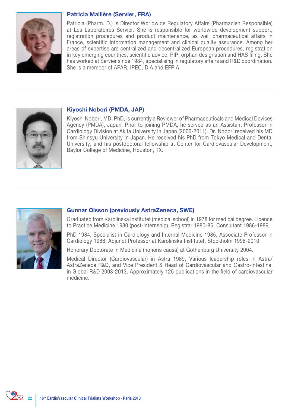# **Patricia Maillère (Servier, FRA)**



Patricia (Pharm. D.) is Director Worldwide Regulatory Affairs (Pharmacien Responsible) at Les Laboratoires Servier. She is responsible for worldwide development support, registration procedures and product maintenance, as well pharmaceutical affairs in France, scientific information management and clinical quality assurance. Among her areas of expertise are centralized and decentralized European procedures, registration in key emerging countries, scientific advice, PIP, orphan designation and HAS filing. She has worked at Servier since 1984, specialising in regulatory affairs and R&D coordination. She is a member of AFAR, IPEC, DIA and EFPIA.



# **Kiyoshi Nobori (PMDA, JAP)**

Kiyoshi Nobori, MD, PhD, is currently a Reviewer of Pharmaceuticals and Medical Devices Agency (PMDA), Japan. Prior to joining PMDA, he served as an Assistant Professor in Cardiology Division at Akita University in Japan (2006-2011). Dr. Nobori received his MD from Shinsyu University in Japan. He received his PhD from Tokyo Medical and Dental University, and his postdoctoral fellowship at Center for Cardiovascular Development, Baylor College of Medicine, Houston, TX.



# **Gunnar Olsson (previously AstraZeneca, SWE)**

Graduated from Karolinska Institutet (medical school) in 1978 for medical degree. Licence to Practice Medicine 1980 (post-internship), Registrar 1980-86, Consultant 1986-1989.

PhD 1984, Specialist in Cardiology and Internal Medicine 1985, Associate Professor in Cardiology 1986, Adjunct Professor at Karolinska Institutet, Stockholm 1998-2010.

Honorary Doctorate in Medicine (honoris causa) at Gothenburg University 2004.

Medical Director (Cardiovascular) in Astra 1989, Various leadership roles in Astra/ AstraZeneca R&D, and Vice President & Head of Cardiovascular and Gastro-intestinal in Global R&D 2003-2013. Approximately 125 publications in the field of cardiovascular medicine.

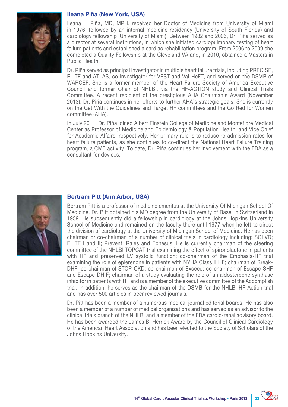

#### **Ileana Piña (New York, USA)**

Ileana L. Piña, MD, MPH, received her Doctor of Medicine from University of Miami in 1976, followed by an internal medicine residency (University of South Florida) and cardiology fellowship (University of Miami). Between 1982 and 2006, Dr. Piña served as a director at several institutions, in which she initiated cardiopulmonary testing of heart failure patients and established a cardiac rehabilitation program. From 2006 to 2009 she completed a Quality Fellowship at the Cleveland VA and, in 2010, obtained a Masters in Public Health.

Dr. Piña served as principal investigator in multiple heart failure trials, including PRECISE, ELITE and ATLAS, co-investigator for VEST and Val-HeFT, and served on the DSMB of WARCEF. She is a former member of the Heart Failure Society of America Executive Council and former Chair of NHLBI, via the HF-ACTION study and Clinical Trials Committee. A recent recipient of the prestigious AHA Chairman's Award (November 2013), Dr. Piña continues in her efforts to further AHA's strategic goals. She is currently on the Get With the Guidelines and Target HF committees and the Go Red for Women committee (AHA).

In July 2011, Dr. Piña joined Albert Einstein College of Medicine and Montefiore Medical Center as Professor of Medicine and Epidemiology & Population Health, and Vice Chief for Academic Affairs, respectively. Her primary role is to reduce re-admission rates for heart failure patients, as she continues to co-direct the National Heart Failure Training program, a CME activity. To date, Dr. Piña continues her involvement with the FDA as a consultant for devices.



# **Bertram Pitt (Ann Arbor, USA)**

Bertram Pitt is a professor of medicine emeritus at the University Of Michigan School Of Medicine. Dr. Pitt obtained his MD degree from the University of Basel in Switzerland in 1959. He subsequently did a fellowship in cardiology at the Johns Hopkins University School of Medicine and remained on the faculty there until 1977 when he left to direct the division of cardiology at the University of Michigan School of Medicine. He has been chairman or co-chairman of a number of clinical trials in cardiology including: SOLVD; ELITE I and II; Prevent; Rales and Ephesus. He is currently chairman of the steering committee of the NHLBI TOPCAT trial examining the effect of spironolactone in patients with HF and preserved LV systolic function; co-chairman of the Emphasis-HF trial examining the role of eplerenone in patients with NYHA Class II HF; chairman of Break-DHF; co-chairman of STOP-CKD; co-chairman of Exceed; co-chairman of Escape-SHF and Escape-DH F; chairman of a study evaluating the role of an aldostereone synthase inhibitor in patients with HF and is a member of the executive committee of the Accomplish trial. In addition, he serves as the chairman of the DSMB for the NHLBI HF-Action trial and has over 500 articles in peer reviewed journals.

Dr. Pitt has been a member of a numerous medical journal editorial boards. He has also been a member of a number of medical organizations and has served as an advisor to the clinical trials branch of the NHLBI and a member of the FDA cardio-renal advisory board. He has been awarded the James B. Herrick Award by the Council of Clinical Cardiology of the American Heart Association and has been elected to the Society of Scholars of the Johns Hopkins University.

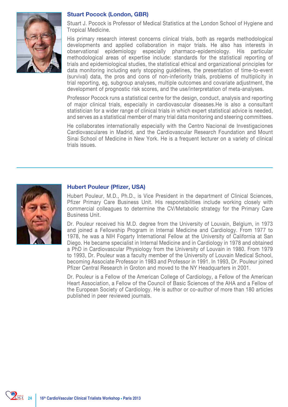

# **Stuart Pocock (London, GBR)**

Stuart J. Pocock is Professor of Medical Statistics at the London School of Hygiene and Tropical Medicine.

His primary research interest concerns clinical trials, both as regards methodological developments and applied collaboration in major trials. He also has interests in observational epidemiology especially pharmaco-epidemiology. His particular methodological areas of expertise include: standards for the statistical reporting of trials and epidemiological studies, the statistical ethical and organizational principles for data monitoring including early stopping guidelines, the presentation of time-to-event (survival) data, the pros and cons of non-inferiority trials, problems of multiplicity in trial reporting, eg, subgroup analyses, multiple outcomes and covariate adjustment, the development of prognostic risk scores, and the use/interpretation of meta-analyses.

Professor Pocock runs a statistical centre for the design, conduct, analysis and reporting of major clinical trials, especially in cardiovascular diseases.He is also a consultant statistician for a wider range of clinical trials in which expert statistical advice is needed, and serves as a statistical member of many trial data monitoring and steering committees.

He collaborates internationally especially with the Centro Nacional de Investigaciones Cardiovasculares in Madrid, and the Cardiovascular Research Foundation and Mount Sinai School of Medicine in New York. He is a frequent lecturer on a variety of clinical trials issues.



#### **Hubert Pouleur (Pfizer, USA)**

Hubert Pouleur, M.D., Ph.D., is Vice President in the department of Clinical Sciences, Pfizer Primary Care Business Unit. His responsibilities include working closely with commercial colleagues to determine the CV/Metabolic strategy for the Primary Care Business Unit.

Dr. Pouleur received his M.D. degree from the University of Louvain, Belgium, in 1973 and joined a Fellowship Program in Internal Medicine and Cardiology. From 1977 to 1978, he was a NIH Fogarty International Fellow at the University of California at San Diego. He became specialist in Internal Medicine and in Cardiology in 1978 and obtained a PhD in Cardiovascular Physiology from the University of Louvain in 1980. From 1979 to 1993, Dr. Pouleur was a faculty member of the University of Louvain Medical School, becoming Associate Professor in 1983 and Professor in 1991. In 1993, Dr. Pouleur joined Pfizer Central Research in Groton and moved to the NY Headquarters in 2001.

Dr. Pouleur is a Fellow of the American College of Cardiology, a Fellow of the American Heart Association, a Fellow of the Council of Basic Sciences of the AHA and a Fellow of the European Society of Cardiology. He is author or co-author of more than 180 articles published in peer reviewed journals.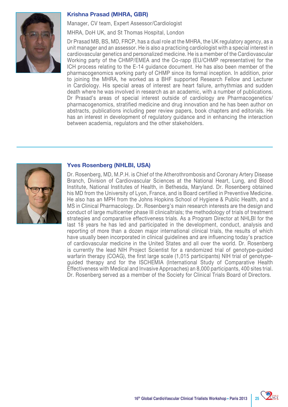

# **Krishna Prasad (MHRA, GBR)**

Manager, CV team, Expert Assessor/Cardiologist

MHRA, DoH UK, and St Thomas Hospital, London

Dr Prasad MB, BS, MD, FRCP, has a dual role at the MHRA, the UK regulatory agency, as a unit manager and an assessor. He is also a practicing cardiologist with a special interest in cardiovascular genetics and personalized medicine. He is a member of the Cardiovascular Working party of the CHMP/EMEA and the Co-rapp (EU/CHMP representative) for the ICH process relating to the E-14 guidance document. He has also been member of the pharmacogenomics working party of CHMP since its formal inception. In addition, prior to joining the MHRA, he worked as a BHF supported Research Fellow and Lecturer in Cardiology. His special areas of interest are heart failure, arrhythmias and sudden death where he was involved in research as an academic, with a number of publications. Dr Prasad's areas of special interest outside of cardiology are Pharmacogenetics/ pharmacogenomics, stratified medicine and drug innovation and he has been author on abstracts, publications including peer review papers, book chapters and editorials. He has an interest in development of regulatory guidance and in enhancing the interaction between academia, regulators and the other stakeholders.



#### **Yves Rosenberg (NHLBI, USA)**

Dr. Rosenberg, MD, M.P.H. is Chief of the Atherothrombosis and Coronary Artery Disease Branch, Division of Cardiovascular Sciences at the National Heart, Lung, and Blood Institute, National Institutes of Health, in Bethesda, Maryland. Dr. Rosenberg obtained his MD from the University of Lyon, France, and is Board certified in Preventive Medicine. He also has an MPH from the Johns Hopkins School of Hygiene & Public Health, and a MS in Clinical Pharmacology. Dr. Rosenberg's main research interests are the design and conduct of large multicenter phase III clinicaltrials; the methodology of trials of treatment strategies and comparative effectiveness trials. As a Program Director at NHLBI for the last 18 years he has led and participated in the development, conduct, analysis and reporting of more than a dozen major international clinical trials, the results of which have usually been incorporated in clinical guidelines and are influencing today's practice of cardiovascular medicine in the United States and all over the world. Dr. Rosenberg is currently the lead NIH Project Scientist for a randomized trial of genotype-guided warfarin therapy (COAG), the first large scale (1,015 participants) NIH trial of genotypeguided therapy and for the ISCHEMIA (International Study of Comparative Health Effectiveness with Medical and Invasive Approaches) an 8,000 participants, 400 sites trial. Dr. Rosenberg served as a member of the Society for Clinical Trials Board of Directors.

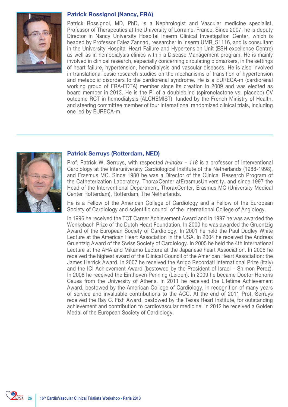# **Patrick Rossignol (Nancy, FRA)**



Patrick Rossignol, MD, PhD, is a Nephrologist and Vascular medicine specialist, Professor of Therapeutics at the University of Lorraine, France. Since 2007, he is deputy Director in Nancy University Hospital Inserm Clinical Investigation Center, which is headed by Professor Faiez Zannad, researcher in Inserm UMR\_S1116, and is consultant in the University Hospital Heart Failure and Hypertension Unit (ESH excellence Centre) as well as in hemodialysis clinics within a Disease Management program. He is mainly involved in clinical research, especially concerning circulating biomarkers, in the settings of heart failure, hypertension, hemodialysis and vascular diseases. He is also involved in translational basic research studies on the mechanisms of transition of hypertension and metabolic disorders to the cardiorenal syndrome. He is a EURECA-m (cardiorenal working group of ERA-EDTA) member since its creation in 2009 and was elected as board member in 2013. He is the PI of a doubleblind (spironolactone vs. placebo) CV outcome RCT in hemodialysis (ALCHEMIST), funded by the French Ministry of Health, and steering committee member of four international randomized clinical trials, including one led by EURECA-m.



#### **Patrick Serruys (Rotterdam, NED)**

Prof. Patrick W. Serruys, with respected *h-index – 118* is a professor of Interventional Cardiology at the Interuniversity Cardiological Institute of the Netherlands (1988-1998), and Erasmus MC. Since 1980 he was a Director of the Clinical Research Program of the Catheterization Laboratory, ThoraxCenter atErasmusUniversity, and since 1997 the Head of the Interventional Department, ThoraxCenter, Erasmus MC (University Medical Center Rotterdam), Rotterdam, The Netherlands.

He is a Fellow of the American College of Cardiology and a Fellow of the European Society of Cardiology and scientific council of the International College of Angiology.

In 1996 he received the TCT Career Achievement Award and in 1997 he was awarded the Wenkebach Prize of the Dutch Heart Foundation. In 2000 he was awarded the Gruentzig Award of the European Society of Cardiology. In 2001 he held the Paul Dudley White Lecture at the American Heart Association in the USA. In 2004 he received the Andreas Gruentzig Award of the Swiss Society of Cardiology. In 2005 he held the 4th International Lecture at the AHA and Mikamo Lecture at the Japanese heart Association. In 2006 he received the highest award of the Clinical Council of the American Heart Association: the James Herrick Award. In 2007 he received the Arrigo Recordati International Prize (Italy) and the ICI Achievement Award (bestowed by the President of Israel – Shimon Perez). In 2008 he received the Einthoven Penning (Leiden). In 2009 he became Doctor Honoris Causa from the University of Athens. In 2011 he received the Lifetime Achievement Award, bestowed by the American College of Cardiology, in recognition of many years of service and invaluable contributions to the ACC. At the end of 2011 Prof. Serruys received the Ray C. Fish Award, bestowed by the Texas Heart Institute, for outstanding achievement and contribution to cardiovascular medicine. In 2012 he received a Golden Medal of the European Society of Cardiology.

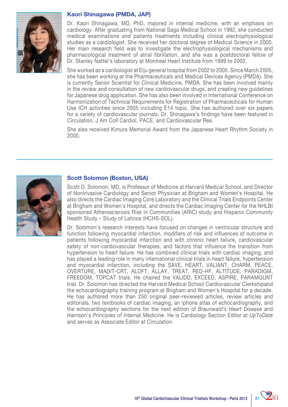# **Kaori Shinagawa (PMDA, JAP)**



Dr. Kaori Shinagawa, MD, PhD, majored in internal medicine, with an emphasis on cardiology. After graduating from National Saga Medical School in 1992, she conducted medical examinations and patients treatments including clinical electrophysiological studies as a cardiologist. She received her doctoral degree of Medical Science in 2000. Her main research field was to investigate the electrophysiological mechanisms and pharmacological treatment of atrial fibrillation, and she was a postdoctoral fellow of Dr. Stanley Nattel's laboratory at Montreal Heart Institute from 1999 to 2002.

She worked as a cardiologist at Eiju general hospital from 2002 to 2005. Since March 2005, she has been working at the Pharmaceuticals and Medical Devices Agency (PMDA). She is currently Senior Scientist for Clinical Medicine, PMDA. She has been involved mainly in the review and consultation of new cardiovascular drugs, and creating new guidelines for Japanese drug application. She has also been involved in International Conference on Harmonization of Technical Requirements for Registration of Pharmaceuticals for Human Use ICH activities since 2005 including E14 topic. She has authored over six papers for a variety of cardiovascular journals. Dr. Shinagawa's findings have been featured in Circulation, J Am Coll Cardiol, PACE, and Cardiovascular Res.

She also received Kimura Memorial Award from the Japanese Heart Rhythm Society in 2000.



# **Scott Solomon (Boston, USA)**

Scott D. Solomon, MD, is Professor of Medicine at Harvard Medical School, and Director of Noninvasive Cardiology and Senior Physician at Brigham and Women's Hospital. He also directs the Cardiac Imaging Core Laboratory and the Clinical Trials Endpoints Center at Brigham and Women's Hospital, and directs the Cardiac Imaging Center for the NHLBI sponsored Atherosclerosis Risk in Communities (ARIC) study and Hispanic Community Health Study – Study of Latinos (HCHS-SOL).

Dr. Solomon's research interests have focused on changes in ventricular structure and function following myocardial infarction, modifiers of risk and influences of outcome in patients following myocardial infarction and with chronic heart failure, cardiovascular safety of non-cardiovascular therapies, and factors that influence the transition from hypertension to heart failure. He has combined clinical trials with cardiac imaging, and has played a leading role in many international clinical trials in heart failure, hypertension and myocardial infarction, including the SAVE, HEART, VALIANT, CHARM, PEACE, OVERTURE, MADIT-CRT, ALOFT, ALLAY, TREAT, RED-HF, ALTITUDE, PARADIGM, FREEDOM, TOPCAT trials. He chaired the VALIDD, EXCEED, ASPIRE, PARAMOUNT trial. Dr. Solomon has directed the Harvard Medical School Cardiovascular Clerkshipand the echocardiography training program at Brigham and Women's Hospital for a decade. He has authored more than 250 original peer-reviewed articles, review articles and editorials, two textbooks of cardiac imaging, an iphone atlas of echocardiography, and the echocardiography sections for the next edition of *Braunwald's Heart Disease* and Harrison's *Principles of Internal Medicine.* He is Cardiology Section Editor at *UpToDate* and serves as Associate Editor at *Circulation*.

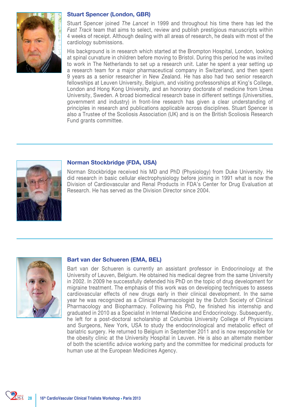

# **Stuart Spencer (London, GBR)**

Stuart Spencer joined *The Lancet* in 1999 and throughout his time there has led the *Fast Track* team that aims to select, review and publish prestigious manuscripts within 4 weeks of receipt. Although dealing with all areas of research, he deals with most of the cardiology submissions.

His background is in research which started at the Brompton Hospital, London, looking at spinal curvature in children before moving to Bristol. During this period he was invited to work in The Netherlands to set up a research unit. Later he spent a year setting up a research team for a major pharmaceutical company in Switzerland, and then spent 9 years as a senior researcher in New Zealand. He has also had two senior research fellowships at Leuven University, Belgium, and visiting professorships at King's College, London and Hong Kong University, and an honorary doctorate of medicine from Umea University, Sweden. A broad biomedical research base in different settings (Universities, government and industry) in front-line research has given a clear understanding of principles in research and publications applicable across disciplines. Stuart Spencer is also a Trustee of the Scoliosis Association (UK) and is on the British Scoliosis Research Fund grants committee.



#### **Norman Stockbridge (FDA, USA)**

Norman Stockbridge received his MD and PhD (Physiology) from Duke University. He did research in basic cellular electrophysiology before joining in 1991 what is now the Division of Cardiovascular and Renal Products in FDA's Center for Drug Evaluation at Research. He has served as the Division Director since 2004.



# **Bart van der Schueren (EMA, BEL)**

Bart van der Schueren is currently an assistant professor in Endocrinology at the University of Leuven, Belgium. He obtained his medical degree from the same University in 2002. In 2009 he successfully defended his PhD on the topic of drug development for migraine treatment. The emphasis of this work was on developing techniques to assess cardiovascular effects of new drugs early in their clinical development. In the same year he was recognized as a Clinical Pharmacologist by the Dutch Society of Clinical Pharmacology and Biopharmacy. Following his PhD, he finished his internship and graduated in 2010 as a Specialist in Internal Medicine and Endocrinology. Subsequently, he left for a post-doctoral scholarship at Columbia University College of Physicians and Surgeons, New York, USA to study the endocrinological and metabolic effect of bariatric surgery. He returned to Belgium in September 2011 and is now responsible for the obesity clinic at the University Hospital in Leuven. He is also an alternate member of both the scientific advice working party and the committee for medicinal products for human use at the European Medicines Agency.

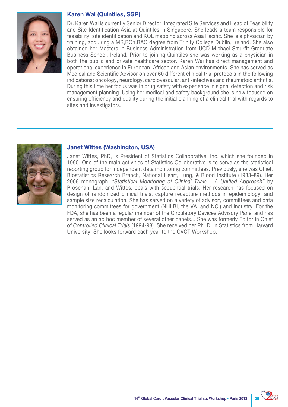

# **Karen Wai (Quintiles, SGP)**

Dr. Karen Wai is currently Senior Director, Integrated Site Services and Head of Feasibility and Site Identification Asia at Quintiles in Singapore. She leads a team responsible for feasibility, site identification and KOL mapping across Asia Pacific. She is a physician by training, acquiring a MB,BCh,BAO degree from Trinity College Dublin, Ireland. She also obtained her Masters in Business Administration from UCD Michael Smurfit Graduate Business School, Ireland. Prior to joining Quintiles she was working as a physician in both the public and private healthcare sector. Karen Wai has direct management and operational experience in European, African and Asian environments. She has served as Medical and Scientific Advisor on over 60 different clinical trial protocols in the following indications: oncology, neurology, cardiovascular, anti-infectives and rheumatoid arthritis. During this time her focus was in drug safety with experience in signal detection and risk management planning. Using her medical and safety background she is now focused on ensuring efficiency and quality during the initial planning of a clinical trial with regards to sites and investigators.



#### **Janet Wittes (Washington, USA)**

Janet Wittes, PhD, is President of Statistics Collaborative, Inc. which she founded in 1990. One of the main activities of Statistics Collaborative is to serve as the statistical reporting group for independent data monitoring committees. Previously, she was Chief, Biostatistics Research Branch, National Heart, Lung, & Blood Institute (1983–89). Her 2006 monograph, *"Statistical Monitoring of Clinical Trials – A Unified Approach"* by Proschan, Lan, and Wittes, deals with sequential trials. Her research has focused on design of randomized clinical trials, capture recapture methods in epidemiology, and sample size recalculation. She has served on a variety of advisory committees and data monitoring committees for government (NHLBI, the VA, and NCI) and industry. For the FDA, she has been a regular member of the Circulatory Devices Advisory Panel and has served as an ad hoc member of several other panels... She was formerly Editor in Chief of *Controlled Clinical Trials* (1994-98). She received her Ph. D. in Statistics from Harvard University. She looks forward each year to the CVCT Workshop.

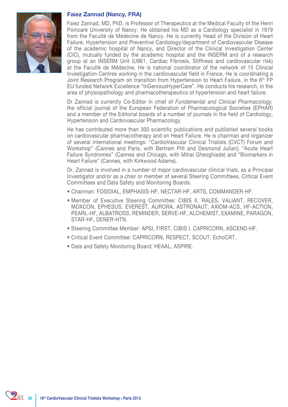

# **Faiez Zannad (Nancy, FRA)**

Faiez Zannad, MD, PhD, is Professor of Therapeutics at the Medical Faculty of the Henri Poincaré University of Nancy. He obtained his MD as a Cardiology specialist in 1979 from the Faculté de Médecine de Nancy. He is currently Head of the Division of Heart Failure, Hypertension and Preventive Cardiology/department of Cardiovascular Disease of the academic hospital of Nancy, and Director of the Clinical Investigation Center (CIC), mutually funded by the academic hospital and the INSERM and of a research group at an INSERM Unit (U961, Cardiac Fibrosis, Stiffness and cardiovascular risk) at the Faculté de Médecine. He is national coordinator of the network of 15 Clinical Investigation Centres working in the cardiovascular field in France. He is coordinating a Joint Research Program on transition from Hypertension to Heart Failure, in the  $6<sup>th</sup>$  FP EU funded Network Excellence "InGeniousHyperCare". He conducts his research, in the area of physiopathology and pharmacotherapeutics of hypertension and heart failure.

Dr Zannad is currently Co-Editor in chief of *Fundamental and Clinical Pharmacology,*  the official journal of the European Federation of Pharmacological Societies (EPHAR) and a member of the Editorial boards of a number of journals in the field of Cardiology, Hypertension and Cardiovascular Pharmacology.

He has contributed more than 300 scientific publications and published several books on cardiovascular pharmacotherapy and on Heart Failure. He is chairman and organizer of several international meetings: "CardioVascular Clinical Trialists (CVCT) Forum and Workshop" (Cannes and Paris, with Bertram Pitt and Desmond Julian); "Acute Heart Failure Syndromes" (Cannes and Chicago, with Mihai Gheoghiade) and "Biomarkers in Heart Failure" (Cannes, with Kirkwood Adams).

Dr. Zannad is involved in a number of major cardiovascular clinical trials, as a Principal Investigator and/or as a chair or member of several Steering Committees, Critical Event Committees and Data Safety and Monitoring Boards.

- Chairman: FOSIDIAL, EMPHASIS-HF, NECTAR-HF, ARTS, COMMANDER-HF.
- Member of Executive Steering Committee: CIBIS II, RALES, VALIANT, RECOVER, MOXCON, EPHESUS, EVEREST, AURORA, ASTRONAUT, AXIOM-ACS, HF-ACTION, PEARL-HF, ALBATROSS, REMINDER, SERVE-HF, ALCHEMIST, EXAMINE, PARAGON, STAR-HF, DENER-HTN.
- Steering Committee Member: APSI, FIRST, CIBIS I, CAPRICORN, ASCEND-HF.
- Critical Event Committee: CAPRICORN, RESPECT, SCOUT, EchoCRT.
- Data and Safety Monitoring Board: HEAAL, ASPIRE.

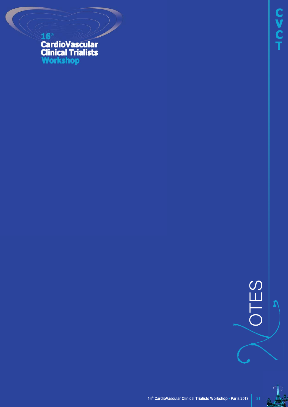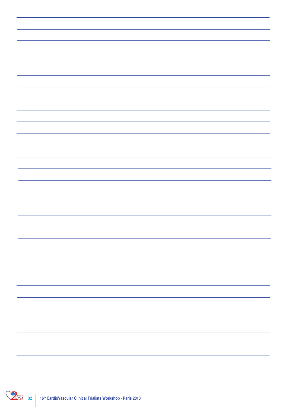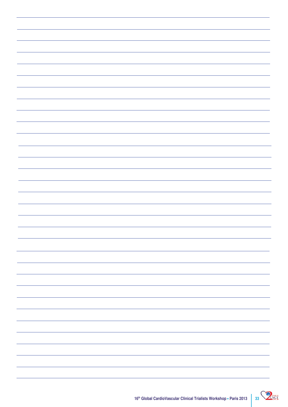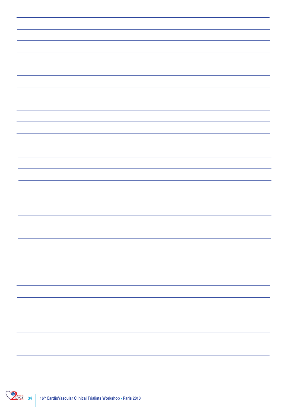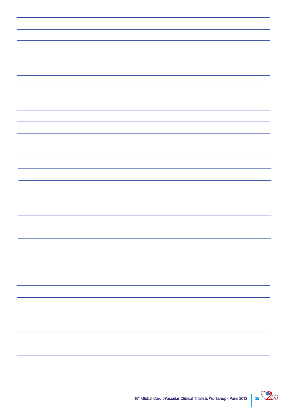